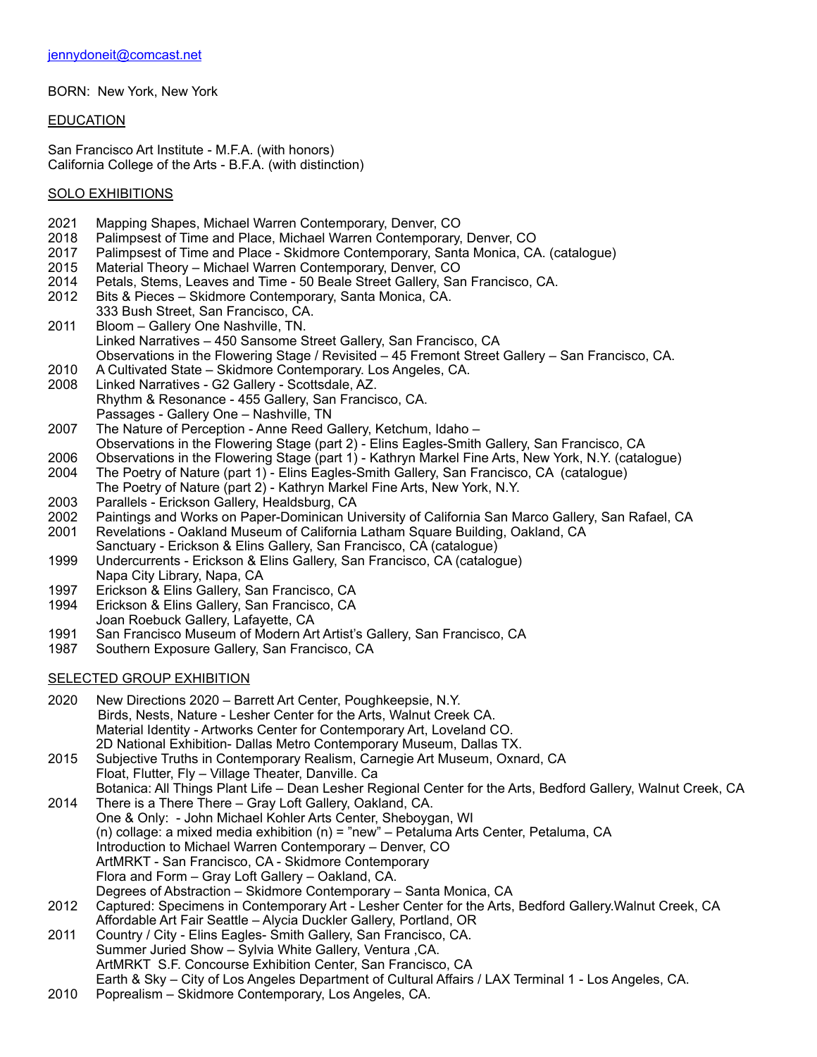BORN: New York, New York

EDUCATION

San Francisco Art Institute - M.F.A. (with honors) California College of the Arts - B.F.A. (with distinction)

### SOLO EXHIBITIONS

- 2021 Mapping Shapes, Michael Warren Contemporary, Denver, CO
- 2018 Palimpsest of Time and Place, Michael Warren Contemporary, Denver, CO<br>2017 Palimpsest of Time and Place Skidmore Contemporary, Santa Monica, CA
- Palimpsest of Time and Place Skidmore Contemporary, Santa Monica, CA. (catalogue)
- 2015 Material Theory Michael Warren Contemporary, Denver, CO
- 2014 Petals, Stems, Leaves and Time 50 Beale Street Gallery, San Francisco, CA.<br>2012 Bits & Pieces Skidmore Contemporary, Santa Monica, CA.
- Bits & Pieces Skidmore Contemporary, Santa Monica, CA.
- 333 Bush Street, San Francisco, CA. 2011 Bloom – Gallery One Nashville, TN. Linked Narratives – 450 Sansome Street Gallery, San Francisco, CA Observations in the Flowering Stage / Revisited – 45 Fremont Street Gallery – San Francisco, CA.
- 2010 A Cultivated State Skidmore Contemporary. Los Angeles, CA.
- 2008 Linked Narratives G2 Gallery Scottsdale, AZ. Rhythm & Resonance - 455 Gallery, San Francisco, CA. Passages - Gallery One – Nashville, TN<br>2007 The Nature of Perception - Anne Reed G
- The Nature of Perception Anne Reed Gallery, Ketchum, Idaho –
- Observations in the Flowering Stage (part 2) Elins Eagles-Smith Gallery, San Francisco, CA
- 2006 Observations in the Flowering Stage (part 1) Kathryn Markel Fine Arts, New York, N.Y. (catalogue) 2004 The Poetry of Nature (part 1) Elins Eagles-Smith Gallery, San Francisco, CA (catalogue) The Poetry of Nature (part 1) - Elins Eagles-Smith Gallery, San Francisco, CA (catalogue)
- The Poetry of Nature (part 2) Kathryn Markel Fine Arts, New York, N.Y. 2003 Parallels - Erickson Gallery, Healdsburg, CA
- 2002 Paintings and Works on Paper-Dominican University of California San Marco Gallery, San Rafael, CA
- 2001 Revelations Oakland Museum of California Latham Square Building, Oakland, CA
- Sanctuary Erickson & Elins Gallery, San Francisco, CA (catalogue) 1999 Undercurrents - Erickson & Elins Gallery, San Francisco, CA (catalogue)
- Napa City Library, Napa, CA
- 1997 Erickson & Elins Gallery, San Francisco, CA
- 1994 Erickson & Elins Gallery, San Francisco, CA
- Joan Roebuck Gallery, Lafayette, CA
- 1991 San Francisco Museum of Modern Art Artist's Gallery, San Francisco, CA
- 1987 Southern Exposure Gallery, San Francisco, CA

# **SELECTED GROUP EXHIBITION**

2020 New Directions 2020 – Barrett Art Center, Poughkeepsie, N.Y. Birds, Nests, Nature - Lesher Center for the Arts, Walnut Creek CA. Material Identity - Artworks Center for Contemporary Art, Loveland CO. 2D National Exhibition- Dallas Metro Contemporary Museum, Dallas TX.

2015 Subjective Truths in Contemporary Realism, Carnegie Art Museum, Oxnard, CA Float, Flutter, Fly – Village Theater, Danville. Ca Botanica: All Things Plant Life – Dean Lesher Regional Center for the Arts, Bedford Gallery, Walnut Creek, CA

- 2014 There is a There There Gray Loft Gallery, Oakland, CA. One & Only: - John Michael Kohler Arts Center, Sheboygan, WI (n) collage: a mixed media exhibition (n) = "new" – Petaluma Arts Center, Petaluma, CA Introduction to Michael Warren Contemporary – Denver, CO ArtMRKT - San Francisco, CA - Skidmore Contemporary Flora and Form – Gray Loft Gallery – Oakland, CA. Degrees of Abstraction – Skidmore Contemporary – Santa Monica, CA
- 2012 Captured: Specimens in Contemporary Art Lesher Center for the Arts, Bedford Gallery.Walnut Creek, CA Affordable Art Fair Seattle – Alycia Duckler Gallery, Portland, OR
- 2011 Country / City Elins Eagles- Smith Gallery, San Francisco, CA. Summer Juried Show – Sylvia White Gallery, Ventura ,CA. ArtMRKT S.F. Concourse Exhibition Center, San Francisco, CA Earth & Sky – City of Los Angeles Department of Cultural Affairs / LAX Terminal 1 - Los Angeles, CA.
- 2010 Poprealism Skidmore Contemporary, Los Angeles, CA.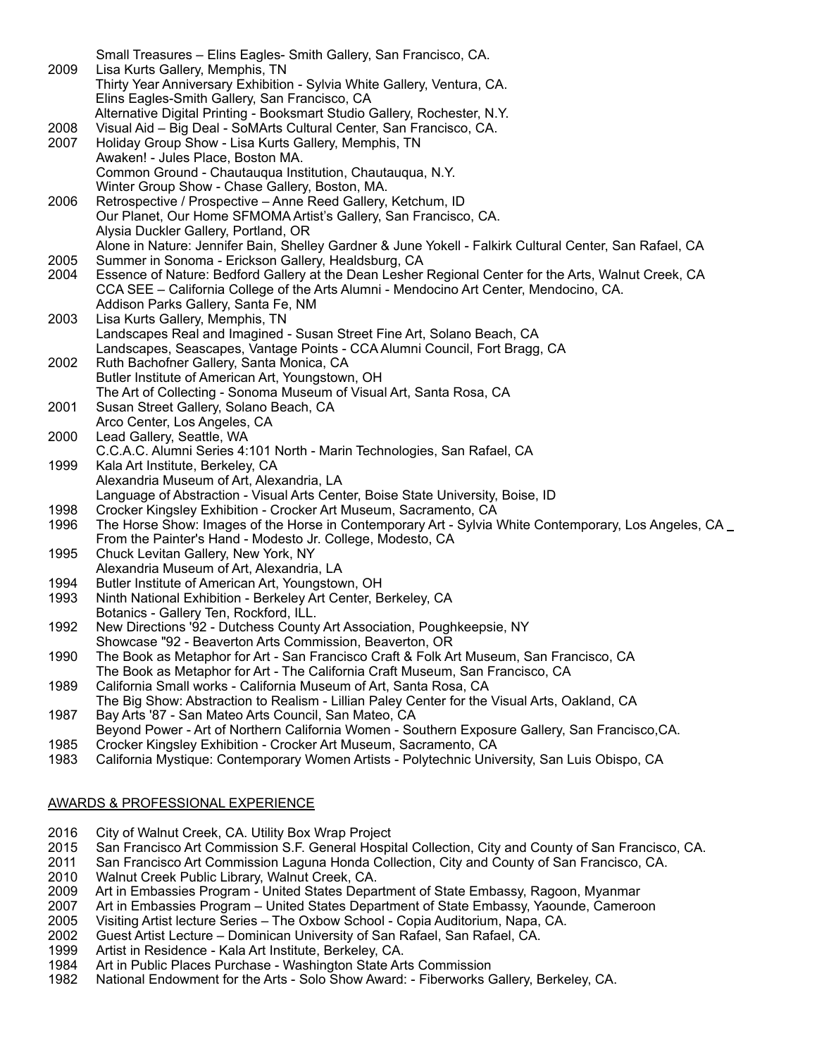|              | Small Treasures - Elins Eagles- Smith Gallery, San Francisco, CA.                                                                                           |
|--------------|-------------------------------------------------------------------------------------------------------------------------------------------------------------|
| 2009         | Lisa Kurts Gallery, Memphis, TN                                                                                                                             |
|              | Thirty Year Anniversary Exhibition - Sylvia White Gallery, Ventura, CA.                                                                                     |
|              | Elins Eagles-Smith Gallery, San Francisco, CA                                                                                                               |
|              | Alternative Digital Printing - Booksmart Studio Gallery, Rochester, N.Y.                                                                                    |
| 2008         | Visual Aid - Big Deal - SoMArts Cultural Center, San Francisco, CA.                                                                                         |
| 2007         | Holiday Group Show - Lisa Kurts Gallery, Memphis, TN                                                                                                        |
|              | Awaken! - Jules Place, Boston MA.                                                                                                                           |
|              | Common Ground - Chautauqua Institution, Chautauqua, N.Y.                                                                                                    |
|              | Winter Group Show - Chase Gallery, Boston, MA.                                                                                                              |
| 2006         | Retrospective / Prospective - Anne Reed Gallery, Ketchum, ID                                                                                                |
|              | Our Planet, Our Home SFMOMA Artist's Gallery, San Francisco, CA.                                                                                            |
|              | Alysia Duckler Gallery, Portland, OR                                                                                                                        |
|              | Alone in Nature: Jennifer Bain, Shelley Gardner & June Yokell - Falkirk Cultural Center, San Rafael, CA                                                     |
| 2005<br>2004 | Summer in Sonoma - Erickson Gallery, Healdsburg, CA<br>Essence of Nature: Bedford Gallery at the Dean Lesher Regional Center for the Arts, Walnut Creek, CA |
|              | CCA SEE - California College of the Arts Alumni - Mendocino Art Center, Mendocino, CA.                                                                      |
|              | Addison Parks Gallery, Santa Fe, NM                                                                                                                         |
| 2003         | Lisa Kurts Gallery, Memphis, TN                                                                                                                             |
|              | Landscapes Real and Imagined - Susan Street Fine Art, Solano Beach, CA                                                                                      |
|              | Landscapes, Seascapes, Vantage Points - CCA Alumni Council, Fort Bragg, CA                                                                                  |
| 2002         | Ruth Bachofner Gallery, Santa Monica, CA                                                                                                                    |
|              | Butler Institute of American Art, Youngstown, OH                                                                                                            |
|              | The Art of Collecting - Sonoma Museum of Visual Art, Santa Rosa, CA                                                                                         |
| 2001         | Susan Street Gallery, Solano Beach, CA                                                                                                                      |
|              | Arco Center, Los Angeles, CA                                                                                                                                |
| 2000         | Lead Gallery, Seattle, WA                                                                                                                                   |
|              | C.C.A.C. Alumni Series 4:101 North - Marin Technologies, San Rafael, CA                                                                                     |
| 1999         | Kala Art Institute, Berkeley, CA                                                                                                                            |
|              | Alexandria Museum of Art, Alexandria, LA                                                                                                                    |
|              | Language of Abstraction - Visual Arts Center, Boise State University, Boise, ID                                                                             |
| 1998         | Crocker Kingsley Exhibition - Crocker Art Museum, Sacramento, CA                                                                                            |
| 1996         | The Horse Show: Images of the Horse in Contemporary Art - Sylvia White Contemporary, Los Angeles, CA _                                                      |
|              | From the Painter's Hand - Modesto Jr. College, Modesto, CA                                                                                                  |
| 1995         | Chuck Levitan Gallery, New York, NY                                                                                                                         |
|              | Alexandria Museum of Art, Alexandria, LA                                                                                                                    |
| 1994<br>1993 | Butler Institute of American Art, Youngstown, OH                                                                                                            |
|              | Ninth National Exhibition - Berkeley Art Center, Berkeley, CA<br>Botanics - Gallery Ten, Rockford, ILL.                                                     |
| 1992         | New Directions '92 - Dutchess County Art Association, Poughkeepsie, NY                                                                                      |
|              | Showcase "92 - Beaverton Arts Commission, Beaverton, OR                                                                                                     |
| 1990         | The Book as Metaphor for Art - San Francisco Craft & Folk Art Museum, San Francisco, CA                                                                     |
|              | The Book as Metaphor for Art - The California Craft Museum, San Francisco, CA                                                                               |
| 1989         | California Small works - California Museum of Art, Santa Rosa, CA                                                                                           |
|              | The Big Show: Abstraction to Realism - Lillian Paley Center for the Visual Arts, Oakland, CA                                                                |
| 1987         | Bay Arts '87 - San Mateo Arts Council, San Mateo, CA                                                                                                        |
|              | Beyond Power - Art of Northern California Women - Southern Exposure Gallery, San Francisco, CA.                                                             |

- 1985 Crocker Kingsley Exhibition Crocker Art Museum, Sacramento, CA<br>1983 California Mystique: Contemporary Women Artists Polytechnic Univ
- 1983 California Mystique: Contemporary Women Artists Polytechnic University, San Luis Obispo, CA

# AWARDS & PROFESSIONAL EXPERIENCE

- 2016 City of Walnut Creek, CA. Utility Box Wrap Project
- 2015 San Francisco Art Commission S.F. General Hospital Collection, City and County of San Francisco, CA.
- 2011 San Francisco Art Commission Laguna Honda Collection, City and County of San Francisco, CA.
- 2010 Walnut Creek Public Library, Walnut Creek, CA.
- 2009 Art in Embassies Program United States Department of State Embassy, Ragoon, Myanmar
- 2007 Art in Embassies Program United States Department of State Embassy, Yaounde, Cameroon
- 2005 Visiting Artist lecture Series The Oxbow School Copia Auditorium, Napa, CA.
- Guest Artist Lecture Dominican University of San Rafael, San Rafael, CA.
- 1999 Artist in Residence Kala Art Institute, Berkeley, CA.
- 1984 Art in Public Places Purchase Washington State Arts Commission
- 1982 National Endowment for the Arts Solo Show Award: Fiberworks Gallery, Berkeley, CA.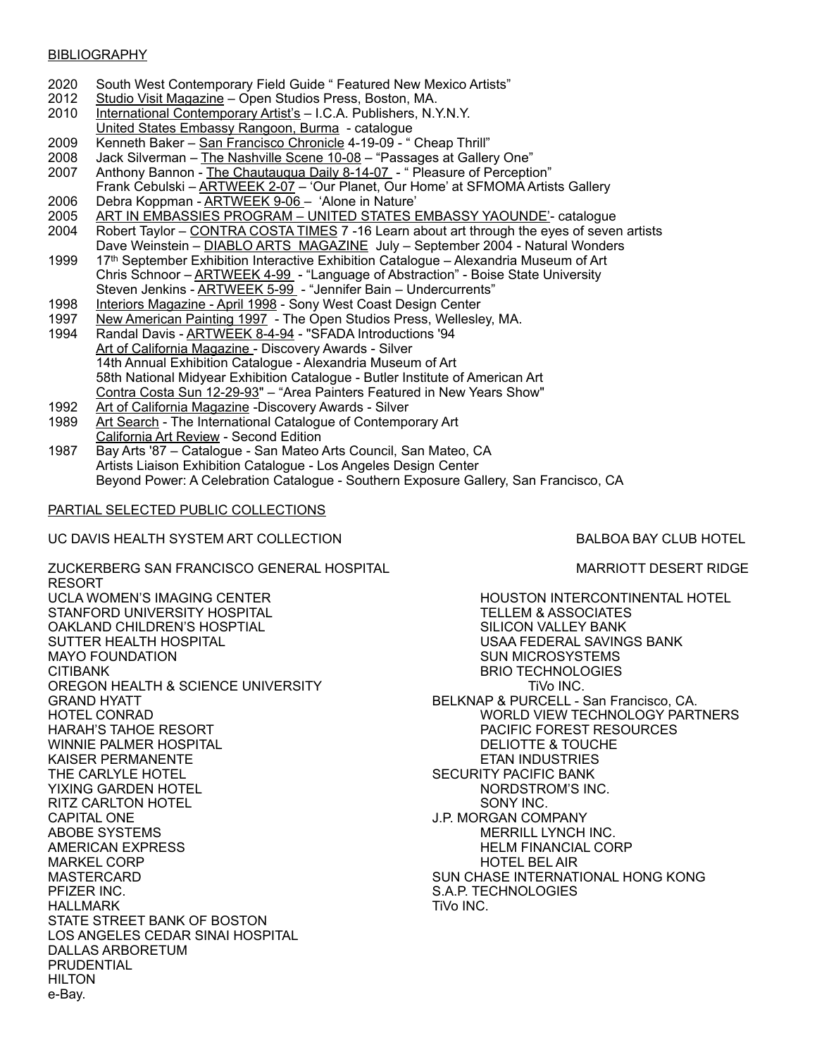#### **BIBLIOGRAPHY**

- 2020 South West Contemporary Field Guide " Featured New Mexico Artists"
- 2012 Studio Visit Magazine Open Studios Press, Boston, MA.
- 2010 International Contemporary Artist's I.C.A. Publishers, N.Y.N.Y. United States Embassy Rangoon, Burma - catalogue
- 2009 Kenneth Baker San Francisco Chronicle 4-19-09 " Cheap Thrill"
- 2008 Jack Silverman The Nashville Scene 10-08 "Passages at Gallery One"
- 2007 Anthony Bannon The Chautauqua Daily 8-14-07 " Pleasure of Perception"
- Frank Cebulski ARTWEEK 2-07 'Our Planet, Our Home' at SFMOMA Artists Gallery 2006 Debra Koppman - ARTWEEK 9-06 - 'Alone in Nature'
- 2005 ART IN EMBASSIES PROGRAM UNITED STATES EMBASSY YAOUNDE'- catalogue<br>2004 Robert Taylor CONTRA COSTA TIMES 7 -16 Learn about art through the eyes of sever
- Robert Taylor CONTRA COSTA TIMES 7 -16 Learn about art through the eyes of seven artists Dave Weinstein – DIABLO ARTS MAGAZINE July – September 2004 - Natural Wonders
- 1999 17<sup>th</sup> September Exhibition Interactive Exhibition Catalogue Alexandria Museum of Art Chris Schnoor - ARTWEEK 4-99 - "Language of Abstraction" - Boise State University Steven Jenkins - ARTWEEK 5-99 - "Jennifer Bain – Undercurrents"
- 1998 Interiors Magazine April 1998 Sony West Coast Design Center<br>1997 New American Painting 1997 The Open Studios Press, Wellesle
- New American Painting 1997 The Open Studios Press, Wellesley, MA.
- 1994 Randal Davis ARTWEEK 8-4-94 "SFADA Introductions '94 Art of California Magazine - Discovery Awards - Silver 14th Annual Exhibition Catalogue - Alexandria Museum of Art 58th National Midyear Exhibition Catalogue - Butler Institute of American Art Contra Costa Sun 12-29-93" – "Area Painters Featured in New Years Show"
- 1992 Art of California Magazine -Discovery Awards Silver
- 1989 Art Search The International Catalogue of Contemporary Art California Art Review - Second Edition
- 1987 Bay Arts '87 Catalogue San Mateo Arts Council, San Mateo, CA Artists Liaison Exhibition Catalogue - Los Angeles Design Center Beyond Power: A Celebration Catalogue - Southern Exposure Gallery, San Francisco, CA

### PARTIAL SELECTED PUBLIC COLLECTIONS

#### UC DAVIS HEALTH SYSTEM ART COLLECTION BALDOA BAY CLUB HOTEL

ZUCKERBERG SAN FRANCISCO GENERAL HOSPITAL MARRIOTT DESERT RIDGE RESORT UCLA WOMEN'S IMAGING CENTER **HOUSTON INTERCONTINENTAL HOTEL** STANFORD UNIVERSITY HOSPITAL TELLEM & ASSOCIATES OAKLAND CHILDREN'S HOSPTIAL SILICON VALLEY BANK MAYO FOUNDATION GENERAL SUN MICROSYSTEMS CITIBANK BRIO TECHNOLOGIES OREGON HEALTH & SCIENCE UNIVERSITY TIME TO A RESERVE THE TIME INC. GRAND HYATT **Example 20 SEL AT A CONSTRUCT A SECULUARE A PURCELL** - San Francisco, CA. HOTEL CONRAD WORLD VIEW TECHNOLOGY PARTNERS HARAH'S TAHOE RESORT PACIFIC FOREST RESOURCES WINNIE PALMER HOSPITAL UNIT DELIOTTE & TOUCHE AND DELIOTTE & TOUCHE AND DELIOTTE & TOUCHE AND DELIOTTE ALL ON <br>DELIOTTE & TOUCHE AND DESCRIPTION OF A LIGHT AND DESCRIPTION OF A LIGHT AND DESCRIPTION OF A LIGHT AND DESCRIP KAISER PERMANENTE THE CARLYLE HOTEL SECURITY PACIFIC BANK YIXING GARDEN HOTEL NORDSTROM'S INC. RITZ CARLTON HOTEL **SONY INC.** SONY INC. CAPITAL ONE J.P. MORGAN COMPANY ABOBE SYSTEMS MERRILL LYNCH INC. MARKEL CORP HOTEL BEL AIR MASTERCARD SUN CHASE INTERNATIONAL HONG KONG PFIZER INC. S.A.P. TECHNOLOGIES HALLMARK TiVo INC. STATE STREET BANK OF BOSTON LOS ANGELES CEDAR SINAI HOSPITAL DALLAS ARBORETUM PRUDENTIAL HILTON e-Bay.

USAA FEDERAL SAVINGS BANK **HELM FINANCIAL CORP**